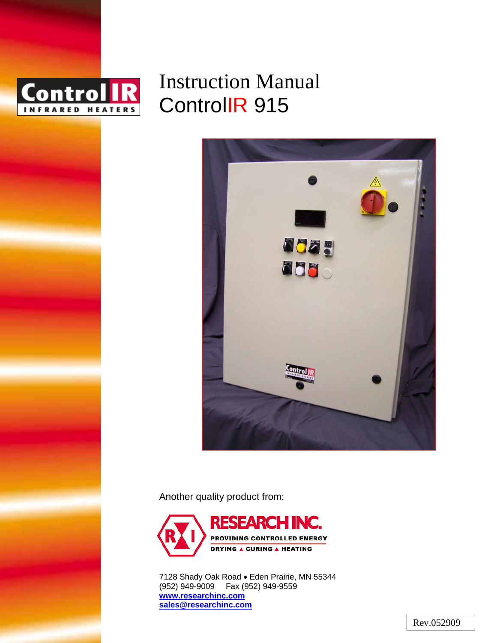

# Instruction Manual ControlIR 915



Another quality product from:



7128 Shady Oak Road • Eden Prairie, MN 55344 (952) 949-9009 Fax (952) 949-9559 **www.researchinc.com sales@researchinc.com**

Rev.052909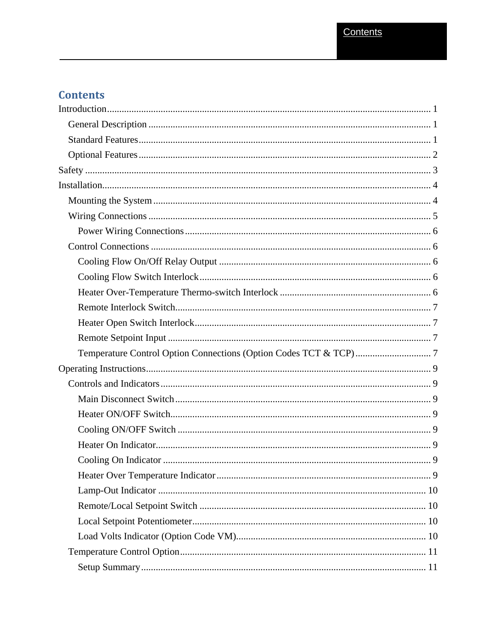# **Contents**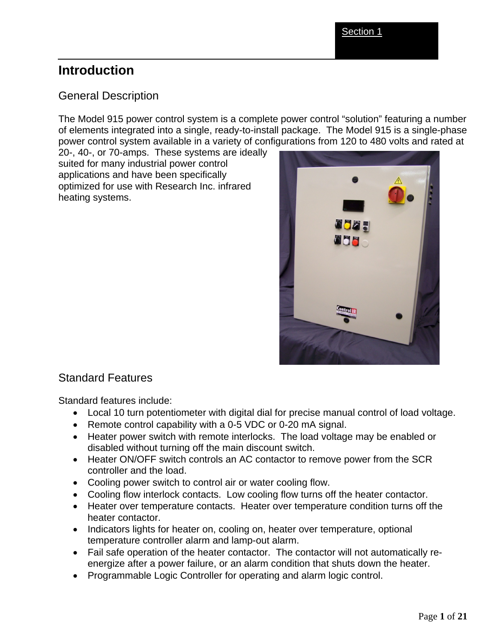# **Introduction**

# General Description

The Model 915 power control system is a complete power control "solution" featuring a number of elements integrated into a single, ready-to-install package. The Model 915 is a single-phase power control system available in a variety of configurations from 120 to 480 volts and rated at

20-, 40-, or 70-amps. These systems are ideally suited for many industrial power control applications and have been specifically optimized for use with Research Inc. infrared heating systems.



### Standard Features

Standard features include:

- Local 10 turn potentiometer with digital dial for precise manual control of load voltage.
- Remote control capability with a 0-5 VDC or 0-20 mA signal.
- Heater power switch with remote interlocks. The load voltage may be enabled or disabled without turning off the main discount switch.
- Heater ON/OFF switch controls an AC contactor to remove power from the SCR controller and the load.
- Cooling power switch to control air or water cooling flow.
- Cooling flow interlock contacts. Low cooling flow turns off the heater contactor.
- Heater over temperature contacts. Heater over temperature condition turns off the heater contactor.
- Indicators lights for heater on, cooling on, heater over temperature, optional temperature controller alarm and lamp-out alarm.
- Fail safe operation of the heater contactor. The contactor will not automatically reenergize after a power failure, or an alarm condition that shuts down the heater.
- Programmable Logic Controller for operating and alarm logic control.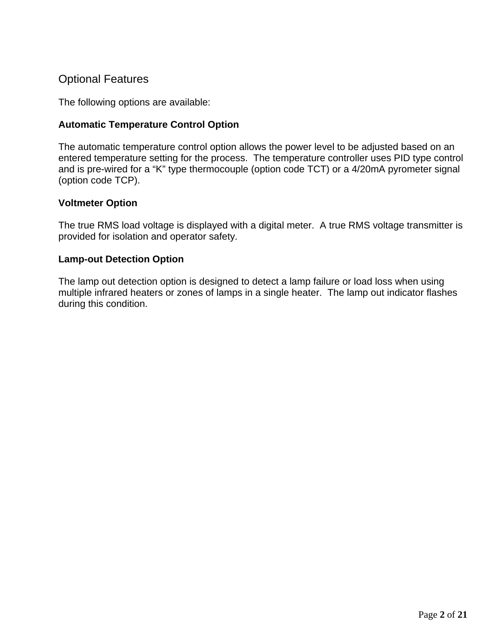# Optional Features

The following options are available:

#### **Automatic Temperature Control Option**

The automatic temperature control option allows the power level to be adjusted based on an entered temperature setting for the process. The temperature controller uses PID type control and is pre-wired for a "K" type thermocouple (option code TCT) or a 4/20mA pyrometer signal (option code TCP).

#### **Voltmeter Option**

The true RMS load voltage is displayed with a digital meter. A true RMS voltage transmitter is provided for isolation and operator safety.

#### **Lamp-out Detection Option**

The lamp out detection option is designed to detect a lamp failure or load loss when using multiple infrared heaters or zones of lamps in a single heater. The lamp out indicator flashes during this condition.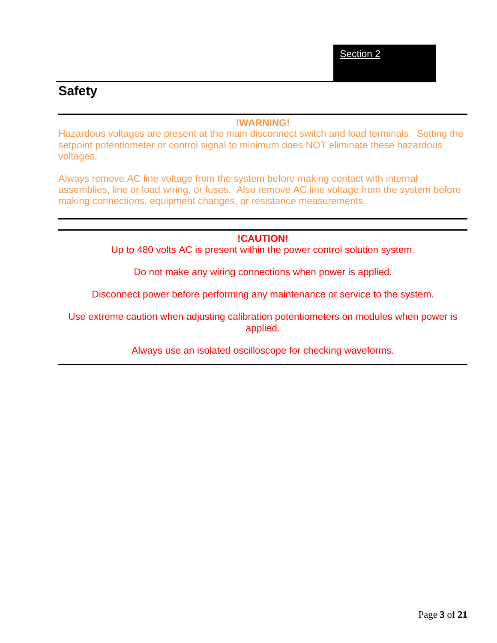# **Safety**

#### **!WARNING!**

Hazardous voltages are present at the main disconnect switch and load terminals. Setting the setpoint potentiometer or control signal to minimum does NOT eliminate these hazardous voltages.

Always remove AC line voltage from the system before making contact with internal assemblies, line or load wiring, or fuses. Also remove AC line voltage from the system before making connections, equipment changes, or resistance measurements.

#### **!CAUTION!**

Up to 480 volts AC is present within the power control solution system.

Do not make any wiring connections when power is applied.

Disconnect power before performing any maintenance or service to the system.

Use extreme caution when adjusting calibration potentiometers on modules when power is applied.

Always use an isolated oscilloscope for checking waveforms.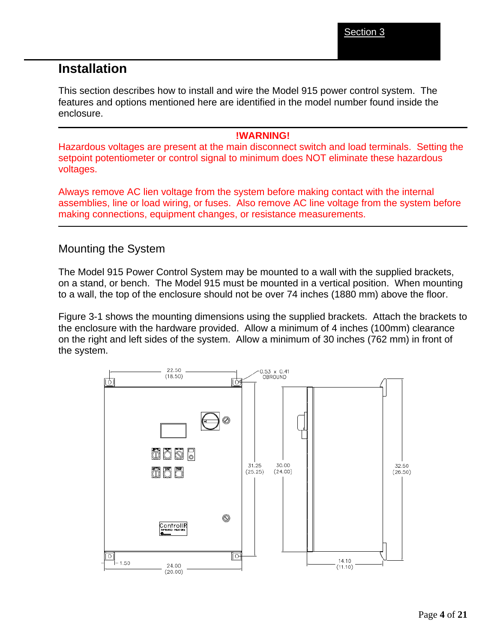# **Installation**

This section describes how to install and wire the Model 915 power control system. The features and options mentioned here are identified in the model number found inside the enclosure.

#### **!WARNING!**

Hazardous voltages are present at the main disconnect switch and load terminals. Setting the setpoint potentiometer or control signal to minimum does NOT eliminate these hazardous voltages.

Always remove AC lien voltage from the system before making contact with the internal assemblies, line or load wiring, or fuses. Also remove AC line voltage from the system before making connections, equipment changes, or resistance measurements.

#### Mounting the System

The Model 915 Power Control System may be mounted to a wall with the supplied brackets, on a stand, or bench. The Model 915 must be mounted in a vertical position. When mounting to a wall, the top of the enclosure should not be over 74 inches (1880 mm) above the floor.

Figure 3-1 shows the mounting dimensions using the supplied brackets. Attach the brackets to the enclosure with the hardware provided. Allow a minimum of 4 inches (100mm) clearance on the right and left sides of the system. Allow a minimum of 30 inches (762 mm) in front of the system.

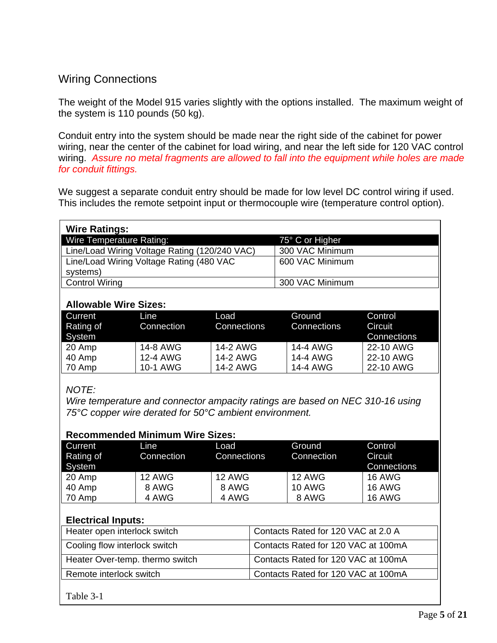# Wiring Connections

The weight of the Model 915 varies slightly with the options installed. The maximum weight of the system is 110 pounds (50 kg).

Conduit entry into the system should be made near the right side of the cabinet for power wiring, near the center of the cabinet for load wiring, and near the left side for 120 VAC control wiring. *Assure no metal fragments are allowed to fall into the equipment while holes are made for conduit fittings.*

We suggest a separate conduit entry should be made for low level DC control wiring if used. This includes the remote setpoint input or thermocouple wire (temperature control option).

| <b>Wire Ratings:</b>                          |                 |
|-----------------------------------------------|-----------------|
| Wire Temperature Rating:                      | 75° C or Higher |
| Line/Load Wiring Voltage Rating (120/240 VAC) | 300 VAC Minimum |
| Line/Load Wiring Voltage Rating (480 VAC      | 600 VAC Minimum |
| systems)                                      |                 |
| <b>Control Wiring</b>                         | 300 VAC Minimum |

#### **Allowable Wire Sizes:**

| Current<br>Rating of | Line<br>Connection | Load<br>Connections | Ground<br>Connections | Control<br>Circuit |
|----------------------|--------------------|---------------------|-----------------------|--------------------|
| System               |                    |                     |                       | Connections        |
| 20 Amp               | 14-8 AWG           | 14-2 AWG            | 14-4 AWG              | 22-10 AWG          |
| 40 Amp               | 12-4 AWG           | 14-2 AWG            | 14-4 AWG              | 22-10 AWG          |
| 70 Amp               | 10-1 AWG           | 14-2 AWG            | 14-4 AWG              | 22-10 AWG          |

#### *NOTE:*

*Wire temperature and connector ampacity ratings are based on NEC 310-16 using 75°C copper wire derated for 50°C ambient environment.* 

| <b>Recommended Minimum Wire Sizes:</b> |               |               |               |               |  |
|----------------------------------------|---------------|---------------|---------------|---------------|--|
| Current                                | Line          | Load          | Ground        | Control       |  |
| Rating of                              | Connection    | Connections   | Connection    | Circuit       |  |
| System                                 |               |               |               | Connections   |  |
| 20 Amp                                 | <b>12 AWG</b> | <b>12 AWG</b> | <b>12 AWG</b> | <b>16 AWG</b> |  |
| 40 Amp                                 | 8 AWG         | 8 AWG         | <b>10 AWG</b> | <b>16 AWG</b> |  |
| 70 Amp                                 | 4 AWG         | 4 AWG         | 8 AWG         | <b>16 AWG</b> |  |

#### **Electrical Inputs:**

| Contacts Rated for 120 VAC at 2.0 A |
|-------------------------------------|
| Contacts Rated for 120 VAC at 100mA |
| Contacts Rated for 120 VAC at 100mA |
| Contacts Rated for 120 VAC at 100mA |
|                                     |

Table 3-1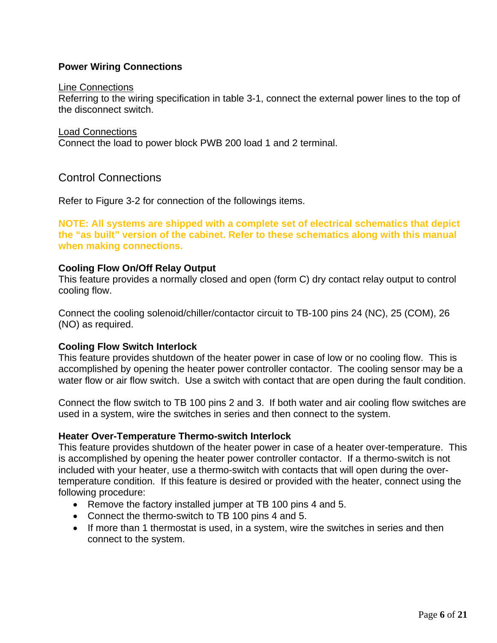#### **Power Wiring Connections**

#### Line Connections

Referring to the wiring specification in table 3-1, connect the external power lines to the top of the disconnect switch.

Load Connections

Connect the load to power block PWB 200 load 1 and 2 terminal.

### Control Connections

Refer to Figure 3-2 for connection of the followings items.

**NOTE: All systems are shipped with a complete set of electrical schematics that depict the "as built" version of the cabinet. Refer to these schematics along with this manual when making connections.** 

#### **Cooling Flow On/Off Relay Output**

This feature provides a normally closed and open (form C) dry contact relay output to control cooling flow.

Connect the cooling solenoid/chiller/contactor circuit to TB-100 pins 24 (NC), 25 (COM), 26 (NO) as required.

#### **Cooling Flow Switch Interlock**

This feature provides shutdown of the heater power in case of low or no cooling flow. This is accomplished by opening the heater power controller contactor. The cooling sensor may be a water flow or air flow switch. Use a switch with contact that are open during the fault condition.

Connect the flow switch to TB 100 pins 2 and 3. If both water and air cooling flow switches are used in a system, wire the switches in series and then connect to the system.

#### **Heater Over-Temperature Thermo-switch Interlock**

This feature provides shutdown of the heater power in case of a heater over-temperature. This is accomplished by opening the heater power controller contactor. If a thermo-switch is not included with your heater, use a thermo-switch with contacts that will open during the overtemperature condition. If this feature is desired or provided with the heater, connect using the following procedure:

- Remove the factory installed jumper at TB 100 pins 4 and 5.
- Connect the thermo-switch to TB 100 pins 4 and 5.
- If more than 1 thermostat is used, in a system, wire the switches in series and then connect to the system.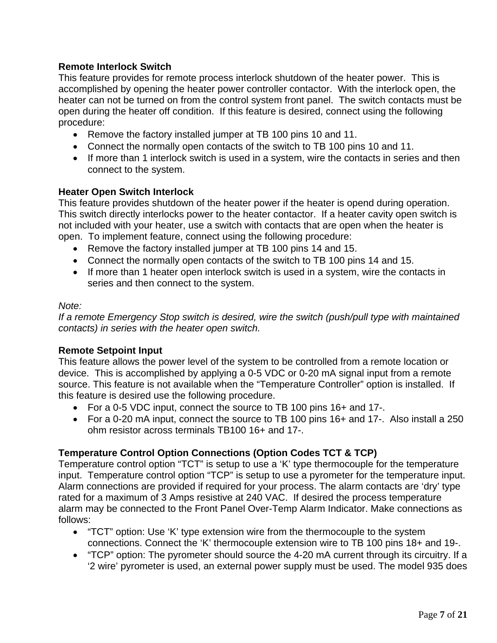#### **Remote Interlock Switch**

This feature provides for remote process interlock shutdown of the heater power. This is accomplished by opening the heater power controller contactor. With the interlock open, the heater can not be turned on from the control system front panel. The switch contacts must be open during the heater off condition. If this feature is desired, connect using the following procedure:

- Remove the factory installed jumper at TB 100 pins 10 and 11.
- Connect the normally open contacts of the switch to TB 100 pins 10 and 11.
- If more than 1 interlock switch is used in a system, wire the contacts in series and then connect to the system.

#### **Heater Open Switch Interlock**

This feature provides shutdown of the heater power if the heater is opend during operation. This switch directly interlocks power to the heater contactor. If a heater cavity open switch is not included with your heater, use a switch with contacts that are open when the heater is open. To implement feature, connect using the following procedure:

- Remove the factory installed jumper at TB 100 pins 14 and 15.
- Connect the normally open contacts of the switch to TB 100 pins 14 and 15.
- If more than 1 heater open interlock switch is used in a system, wire the contacts in series and then connect to the system.

#### *Note:*

*If a remote Emergency Stop switch is desired, wire the switch (push/pull type with maintained contacts) in series with the heater open switch.* 

#### **Remote Setpoint Input**

This feature allows the power level of the system to be controlled from a remote location or device. This is accomplished by applying a 0-5 VDC or 0-20 mA signal input from a remote source. This feature is not available when the "Temperature Controller" option is installed. If this feature is desired use the following procedure.

- For a 0-5 VDC input, connect the source to TB 100 pins 16+ and 17-.
- For a 0-20 mA input, connect the source to TB 100 pins 16+ and 17-. Also install a 250 ohm resistor across terminals TB100 16+ and 17-.

#### **Temperature Control Option Connections (Option Codes TCT & TCP)**

Temperature control option "TCT" is setup to use a 'K' type thermocouple for the temperature input. Temperature control option "TCP" is setup to use a pyrometer for the temperature input. Alarm connections are provided if required for your process. The alarm contacts are 'dry' type rated for a maximum of 3 Amps resistive at 240 VAC. If desired the process temperature alarm may be connected to the Front Panel Over-Temp Alarm Indicator. Make connections as follows:

- "TCT" option: Use 'K' type extension wire from the thermocouple to the system connections. Connect the 'K' thermocouple extension wire to TB 100 pins 18+ and 19-.
- "TCP" option: The pyrometer should source the 4-20 mA current through its circuitry. If a '2 wire' pyrometer is used, an external power supply must be used. The model 935 does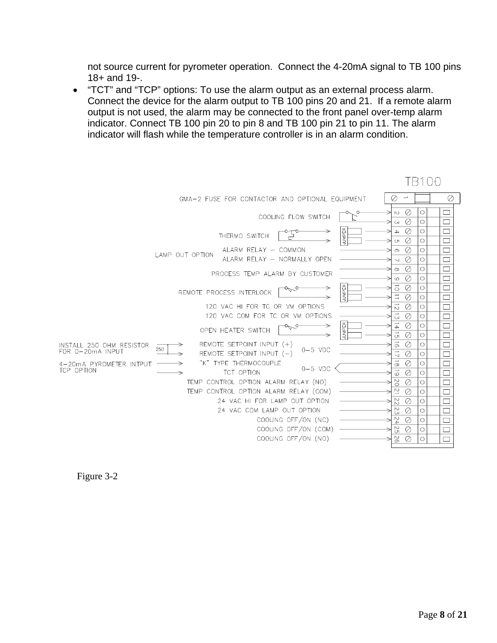not source current for pyrometer operation. Connect the 4-20mA signal to TB 100 pins 18+ and 19-.

• "TCT" and "TCP" options: To use the alarm output as an external process alarm. Connect the device for the alarm output to TB 100 pins 20 and 21. If a remote alarm output is not used, the alarm may be connected to the front panel over-temp alarm indicator. Connect TB 100 pin 20 to pin 8 and TB 100 pin 21 to pin 11. The alarm indicator will flash while the temperature controller is in an alarm condition.

|                                              |     |                 | GMA-2 FUSE FOR CONTACTOR AND OPTIONAL EQUIPMENT                         |               | Ø                                                      |              | Ø |
|----------------------------------------------|-----|-----------------|-------------------------------------------------------------------------|---------------|--------------------------------------------------------|--------------|---|
|                                              |     |                 | COOLING FLOW SWITCH                                                     |               | - 0<br>$\mathop{\sim}$<br>Ø<br>$\mathsf{C}^\mathsf{V}$ | О            |   |
|                                              |     |                 | THERMO SWITCH                                                           | <b>JUMPER</b> | Ø<br>$\rightarrow$<br>⊘<br>Ch                          | $\circ$<br>O |   |
|                                              |     | LAMP OUT OPTION | ALARM RELAY - COMMON<br>ALARM RELAY - NORMALLY OPEN                     |               | Ø<br>$\sigma$                                          | Ο            |   |
|                                              |     |                 | PROCESS TEMP ALARM BY CUSTOMER                                          |               | Ø<br>$\overline{\phantom{0}}$<br>Ø<br>$\infty$         | О<br>О       |   |
|                                              |     |                 | REMOTE PROCESS INTERLOCK                                                | <b>JUMPER</b> | Ø<br>$\circlearrowright$<br>$\vec{o}$<br>⊘             | О<br>О       |   |
|                                              |     |                 | 120 VAC HI FOR TC OR VM OPTIONS                                         |               | Ø<br>$\vec{D}$<br>Ø                                    | Ο<br>O       |   |
|                                              |     |                 | 120 VAC COM FOR TC OR VM OPTIONS                                        |               | Ø<br>$\sim$                                            | О            |   |
|                                              |     |                 | OPEN HEATER SWITCH                                                      | <b>JUMPER</b> | $\frac{1}{4}$<br>Ø<br>$\vec{G}$<br>Ø                   | О<br>О       |   |
| INSTALL 250 OHM RESISTOR<br>FOR 0-20mA INPUT | 250 |                 | REMOTE SETPOINT INPUT $(+)$<br>$0-5$ VDC<br>REMOTE SETPOINT INPUT $(-)$ |               | $\vec{0}$<br>Ø<br>Ø                                    | Ο<br>О       |   |
| 4-20mA PYROMETER INTPUT<br>TCP OPTION        |     |                 | "K" TYPE THERMOCOUPLE<br>$0-5$ VDC<br>TCT OPTION                        |               | $\vec{\alpha}$<br>Ø<br>$\vec{6}$                       | О            |   |
|                                              |     |                 | TEMP CONTROL OPTION ALARM RELAY (NO)                                    |               | Ø<br>2O<br>Ø                                           | О<br>О       |   |
|                                              |     |                 | TEMP CONTROL OPTION ALARM RELAY (COM)                                   |               | $\overline{z}$<br>Ø                                    | О            |   |
|                                              |     |                 | 24 VAC HI FOR LAMP OUT OPTION<br>24 VAC COM LAMP OUT OPTION             |               | 22<br>Ø                                                | О            |   |
|                                              |     |                 | COOLING OFF/ON (NC)                                                     |               | 23<br>Ø<br>54<br>Ø                                     | О<br>$\circ$ |   |
|                                              |     |                 | COOLING OFF/ON (COM)                                                    |               | 52<br>Ø                                                | О            |   |
|                                              |     |                 | COOLING OFF/ON (NO)                                                     |               | 92<br>Ø                                                | Ω            |   |



TR100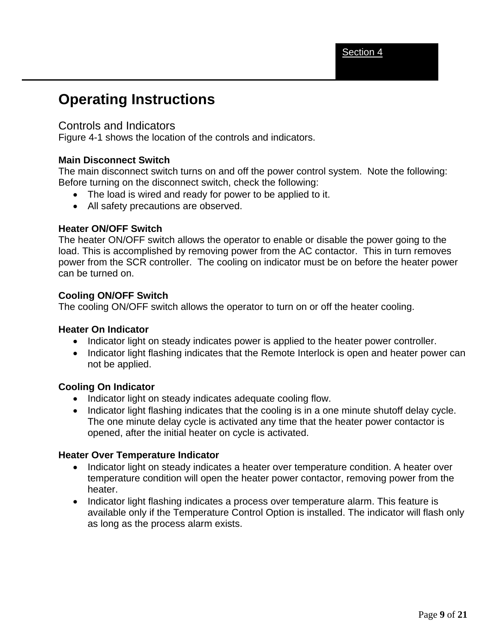# **Operating Instructions**

#### Controls and Indicators

Figure 4-1 shows the location of the controls and indicators.

#### **Main Disconnect Switch**

The main disconnect switch turns on and off the power control system. Note the following: Before turning on the disconnect switch, check the following:

- The load is wired and ready for power to be applied to it.
- All safety precautions are observed.

#### **Heater ON/OFF Switch**

The heater ON/OFF switch allows the operator to enable or disable the power going to the load. This is accomplished by removing power from the AC contactor. This in turn removes power from the SCR controller. The cooling on indicator must be on before the heater power can be turned on.

#### **Cooling ON/OFF Switch**

The cooling ON/OFF switch allows the operator to turn on or off the heater cooling.

#### **Heater On Indicator**

- Indicator light on steady indicates power is applied to the heater power controller.
- Indicator light flashing indicates that the Remote Interlock is open and heater power can not be applied.

#### **Cooling On Indicator**

- Indicator light on steady indicates adequate cooling flow.
- Indicator light flashing indicates that the cooling is in a one minute shutoff delay cycle. The one minute delay cycle is activated any time that the heater power contactor is opened, after the initial heater on cycle is activated.

#### **Heater Over Temperature Indicator**

- Indicator light on steady indicates a heater over temperature condition. A heater over temperature condition will open the heater power contactor, removing power from the heater.
- Indicator light flashing indicates a process over temperature alarm. This feature is available only if the Temperature Control Option is installed. The indicator will flash only as long as the process alarm exists.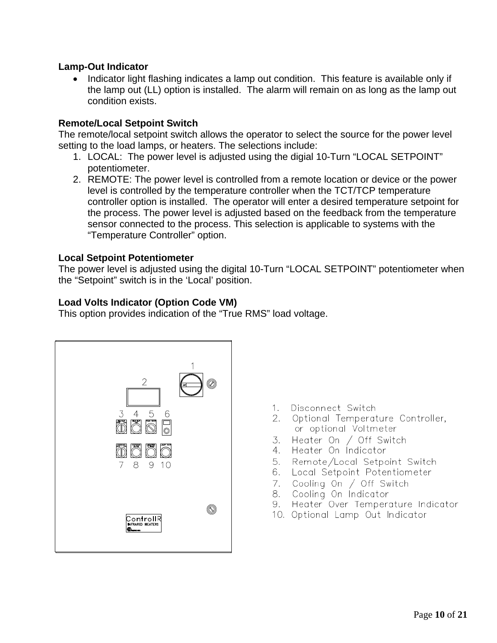#### **Lamp-Out Indicator**

• Indicator light flashing indicates a lamp out condition. This feature is available only if the lamp out (LL) option is installed. The alarm will remain on as long as the lamp out condition exists.

#### **Remote/Local Setpoint Switch**

The remote/local setpoint switch allows the operator to select the source for the power level setting to the load lamps, or heaters. The selections include:

- 1. LOCAL: The power level is adjusted using the digial 10-Turn "LOCAL SETPOINT" potentiometer.
- 2. REMOTE: The power level is controlled from a remote location or device or the power level is controlled by the temperature controller when the TCT/TCP temperature controller option is installed. The operator will enter a desired temperature setpoint for the process. The power level is adjusted based on the feedback from the temperature sensor connected to the process. This selection is applicable to systems with the "Temperature Controller" option.

#### **Local Setpoint Potentiometer**

The power level is adjusted using the digital 10-Turn "LOCAL SETPOINT" potentiometer when the "Setpoint" switch is in the 'Local' position.

#### **Load Volts Indicator (Option Code VM)**

This option provides indication of the "True RMS" load voltage.



- $1.$ Disconnect Switch
- 2. Optional Temperature Controller, or optional Voltmeter
- 3. Heater On  $/$  Off Switch
- 4. Heater On Indicator
- 5. Remote/Local Setpoint Switch
- 6. Local Setpoint Potentiometer
- 7. Cooling On / Off Switch<br>8. Cooling On Indicator
- 
- 9. Heater Over Temperature Indicator
- 10. Optional Lamp Out Indicator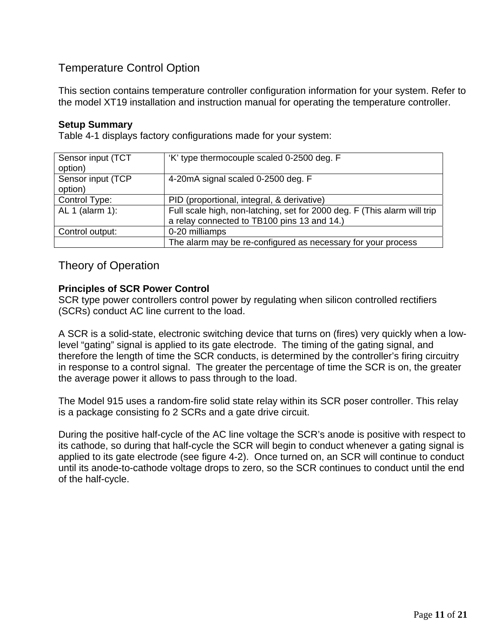# Temperature Control Option

This section contains temperature controller configuration information for your system. Refer to the model XT19 installation and instruction manual for operating the temperature controller.

#### **Setup Summary**

Table 4-1 displays factory configurations made for your system:

| Sensor input (TCT | 'K' type thermocouple scaled 0-2500 deg. F                               |
|-------------------|--------------------------------------------------------------------------|
| option)           |                                                                          |
| Sensor input (TCP | 4-20mA signal scaled 0-2500 deg. F                                       |
| option)           |                                                                          |
| Control Type:     | PID (proportional, integral, & derivative)                               |
| AL 1 (alarm 1):   | Full scale high, non-latching, set for 2000 deg. F (This alarm will trip |
|                   | a relay connected to TB100 pins 13 and 14.)                              |
| Control output:   | 0-20 milliamps                                                           |
|                   | The alarm may be re-configured as necessary for your process             |

Theory of Operation

#### **Principles of SCR Power Control**

SCR type power controllers control power by regulating when silicon controlled rectifiers (SCRs) conduct AC line current to the load.

A SCR is a solid-state, electronic switching device that turns on (fires) very quickly when a lowlevel "gating" signal is applied to its gate electrode. The timing of the gating signal, and therefore the length of time the SCR conducts, is determined by the controller's firing circuitry in response to a control signal. The greater the percentage of time the SCR is on, the greater the average power it allows to pass through to the load.

The Model 915 uses a random-fire solid state relay within its SCR poser controller. This relay is a package consisting fo 2 SCRs and a gate drive circuit.

During the positive half-cycle of the AC line voltage the SCR's anode is positive with respect to its cathode, so during that half-cycle the SCR will begin to conduct whenever a gating signal is applied to its gate electrode (see figure 4-2). Once turned on, an SCR will continue to conduct until its anode-to-cathode voltage drops to zero, so the SCR continues to conduct until the end of the half-cycle.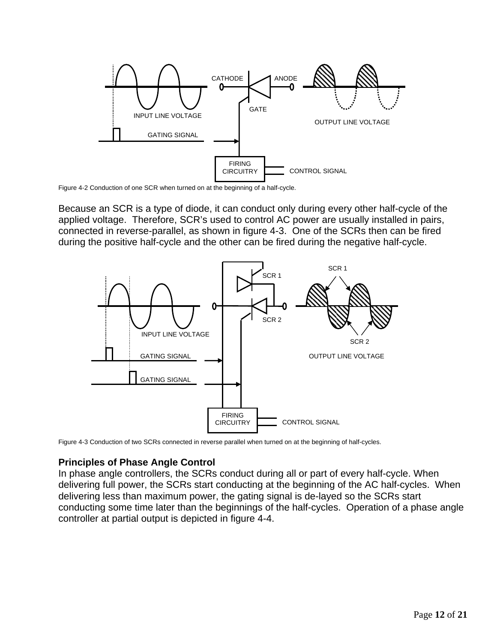

Figure 4-2 Conduction of one SCR when turned on at the beginning of a half-cycle.

Because an SCR is a type of diode, it can conduct only during every other half-cycle of the applied voltage. Therefore, SCR's used to control AC power are usually installed in pairs, connected in reverse-parallel, as shown in figure 4-3. One of the SCRs then can be fired during the positive half-cycle and the other can be fired during the negative half-cycle.



Figure 4-3 Conduction of two SCRs connected in reverse parallel when turned on at the beginning of half-cycles.

#### **Principles of Phase Angle Control**

In phase angle controllers, the SCRs conduct during all or part of every half-cycle. When delivering full power, the SCRs start conducting at the beginning of the AC half-cycles. When delivering less than maximum power, the gating signal is de-layed so the SCRs start conducting some time later than the beginnings of the half-cycles. Operation of a phase angle controller at partial output is depicted in figure 4-4.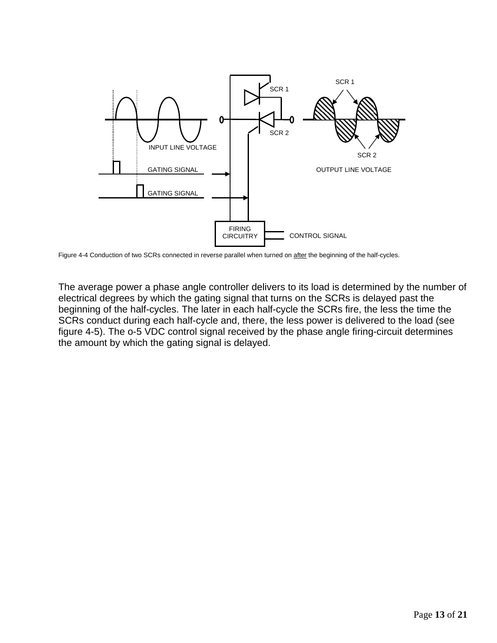

Figure 4-4 Conduction of two SCRs connected in reverse parallel when turned on after the beginning of the half-cycles.

The average power a phase angle controller delivers to its load is determined by the number of electrical degrees by which the gating signal that turns on the SCRs is delayed past the beginning of the half-cycles. The later in each half-cycle the SCRs fire, the less the time the SCRs conduct during each half-cycle and, there, the less power is delivered to the load (see figure 4-5). The o-5 VDC control signal received by the phase angle firing-circuit determines the amount by which the gating signal is delayed.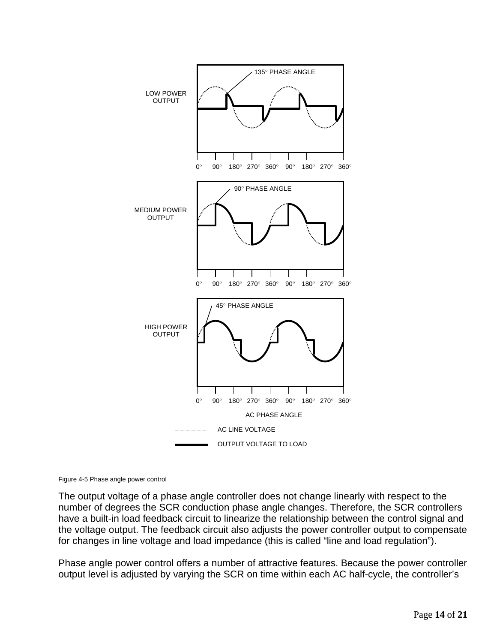

Figure 4-5 Phase angle power control

The output voltage of a phase angle controller does not change linearly with respect to the number of degrees the SCR conduction phase angle changes. Therefore, the SCR controllers have a built-in load feedback circuit to linearize the relationship between the control signal and the voltage output. The feedback circuit also adjusts the power controller output to compensate for changes in line voltage and load impedance (this is called "line and load regulation").

Phase angle power control offers a number of attractive features. Because the power controller output level is adjusted by varying the SCR on time within each AC half-cycle, the controller's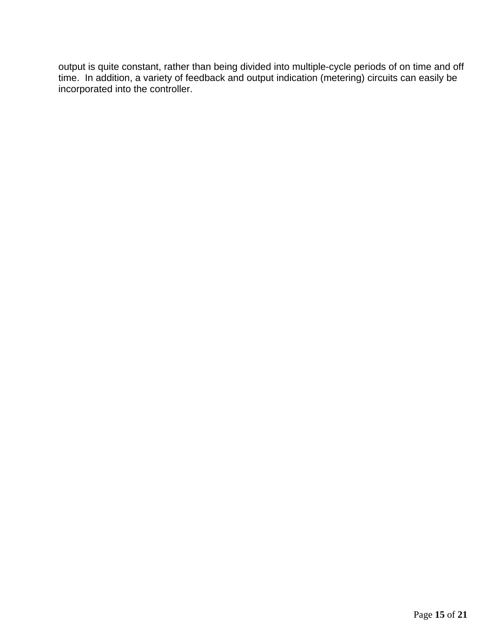output is quite constant, rather than being divided into multiple-cycle periods of on time and off time. In addition, a variety of feedback and output indication (metering) circuits can easily be incorporated into the controller.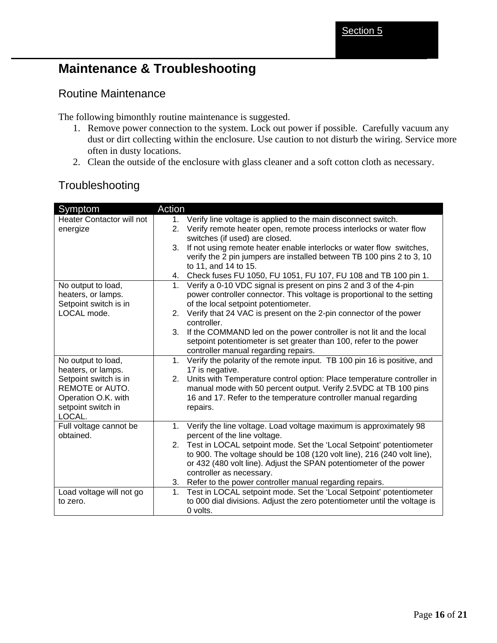# **Maintenance & Troubleshooting**

### Routine Maintenance

The following bimonthly routine maintenance is suggested.

- 1. Remove power connection to the system. Lock out power if possible. Carefully vacuum any dust or dirt collecting within the enclosure. Use caution to not disturb the wiring. Service more often in dusty locations.
- 2. Clean the outside of the enclosure with glass cleaner and a soft cotton cloth as necessary.

### Troubleshooting

| Symptom                                                                                                                                                                                                                                                                                                        | Action                                                                                                                                                                                                                                                                                                                                                                                                                                                                                                                                                                                                                                                                                                                                                                                                                                                                                                                                                                                                                                                                                                                                                                                                                                                                                                                                                                                                                                                                                                                                                                                            |
|----------------------------------------------------------------------------------------------------------------------------------------------------------------------------------------------------------------------------------------------------------------------------------------------------------------|---------------------------------------------------------------------------------------------------------------------------------------------------------------------------------------------------------------------------------------------------------------------------------------------------------------------------------------------------------------------------------------------------------------------------------------------------------------------------------------------------------------------------------------------------------------------------------------------------------------------------------------------------------------------------------------------------------------------------------------------------------------------------------------------------------------------------------------------------------------------------------------------------------------------------------------------------------------------------------------------------------------------------------------------------------------------------------------------------------------------------------------------------------------------------------------------------------------------------------------------------------------------------------------------------------------------------------------------------------------------------------------------------------------------------------------------------------------------------------------------------------------------------------------------------------------------------------------------------|
| Heater Contactor will not                                                                                                                                                                                                                                                                                      | 1. Verify line voltage is applied to the main disconnect switch.                                                                                                                                                                                                                                                                                                                                                                                                                                                                                                                                                                                                                                                                                                                                                                                                                                                                                                                                                                                                                                                                                                                                                                                                                                                                                                                                                                                                                                                                                                                                  |
| energize                                                                                                                                                                                                                                                                                                       | Verify remote heater open, remote process interlocks or water flow<br>2.                                                                                                                                                                                                                                                                                                                                                                                                                                                                                                                                                                                                                                                                                                                                                                                                                                                                                                                                                                                                                                                                                                                                                                                                                                                                                                                                                                                                                                                                                                                          |
|                                                                                                                                                                                                                                                                                                                | switches (if used) are closed.                                                                                                                                                                                                                                                                                                                                                                                                                                                                                                                                                                                                                                                                                                                                                                                                                                                                                                                                                                                                                                                                                                                                                                                                                                                                                                                                                                                                                                                                                                                                                                    |
|                                                                                                                                                                                                                                                                                                                | 3.<br>If not using remote heater enable interlocks or water flow switches,                                                                                                                                                                                                                                                                                                                                                                                                                                                                                                                                                                                                                                                                                                                                                                                                                                                                                                                                                                                                                                                                                                                                                                                                                                                                                                                                                                                                                                                                                                                        |
|                                                                                                                                                                                                                                                                                                                |                                                                                                                                                                                                                                                                                                                                                                                                                                                                                                                                                                                                                                                                                                                                                                                                                                                                                                                                                                                                                                                                                                                                                                                                                                                                                                                                                                                                                                                                                                                                                                                                   |
|                                                                                                                                                                                                                                                                                                                |                                                                                                                                                                                                                                                                                                                                                                                                                                                                                                                                                                                                                                                                                                                                                                                                                                                                                                                                                                                                                                                                                                                                                                                                                                                                                                                                                                                                                                                                                                                                                                                                   |
|                                                                                                                                                                                                                                                                                                                |                                                                                                                                                                                                                                                                                                                                                                                                                                                                                                                                                                                                                                                                                                                                                                                                                                                                                                                                                                                                                                                                                                                                                                                                                                                                                                                                                                                                                                                                                                                                                                                                   |
|                                                                                                                                                                                                                                                                                                                |                                                                                                                                                                                                                                                                                                                                                                                                                                                                                                                                                                                                                                                                                                                                                                                                                                                                                                                                                                                                                                                                                                                                                                                                                                                                                                                                                                                                                                                                                                                                                                                                   |
|                                                                                                                                                                                                                                                                                                                |                                                                                                                                                                                                                                                                                                                                                                                                                                                                                                                                                                                                                                                                                                                                                                                                                                                                                                                                                                                                                                                                                                                                                                                                                                                                                                                                                                                                                                                                                                                                                                                                   |
|                                                                                                                                                                                                                                                                                                                |                                                                                                                                                                                                                                                                                                                                                                                                                                                                                                                                                                                                                                                                                                                                                                                                                                                                                                                                                                                                                                                                                                                                                                                                                                                                                                                                                                                                                                                                                                                                                                                                   |
|                                                                                                                                                                                                                                                                                                                |                                                                                                                                                                                                                                                                                                                                                                                                                                                                                                                                                                                                                                                                                                                                                                                                                                                                                                                                                                                                                                                                                                                                                                                                                                                                                                                                                                                                                                                                                                                                                                                                   |
|                                                                                                                                                                                                                                                                                                                |                                                                                                                                                                                                                                                                                                                                                                                                                                                                                                                                                                                                                                                                                                                                                                                                                                                                                                                                                                                                                                                                                                                                                                                                                                                                                                                                                                                                                                                                                                                                                                                                   |
|                                                                                                                                                                                                                                                                                                                |                                                                                                                                                                                                                                                                                                                                                                                                                                                                                                                                                                                                                                                                                                                                                                                                                                                                                                                                                                                                                                                                                                                                                                                                                                                                                                                                                                                                                                                                                                                                                                                                   |
|                                                                                                                                                                                                                                                                                                                |                                                                                                                                                                                                                                                                                                                                                                                                                                                                                                                                                                                                                                                                                                                                                                                                                                                                                                                                                                                                                                                                                                                                                                                                                                                                                                                                                                                                                                                                                                                                                                                                   |
|                                                                                                                                                                                                                                                                                                                |                                                                                                                                                                                                                                                                                                                                                                                                                                                                                                                                                                                                                                                                                                                                                                                                                                                                                                                                                                                                                                                                                                                                                                                                                                                                                                                                                                                                                                                                                                                                                                                                   |
|                                                                                                                                                                                                                                                                                                                |                                                                                                                                                                                                                                                                                                                                                                                                                                                                                                                                                                                                                                                                                                                                                                                                                                                                                                                                                                                                                                                                                                                                                                                                                                                                                                                                                                                                                                                                                                                                                                                                   |
|                                                                                                                                                                                                                                                                                                                |                                                                                                                                                                                                                                                                                                                                                                                                                                                                                                                                                                                                                                                                                                                                                                                                                                                                                                                                                                                                                                                                                                                                                                                                                                                                                                                                                                                                                                                                                                                                                                                                   |
|                                                                                                                                                                                                                                                                                                                |                                                                                                                                                                                                                                                                                                                                                                                                                                                                                                                                                                                                                                                                                                                                                                                                                                                                                                                                                                                                                                                                                                                                                                                                                                                                                                                                                                                                                                                                                                                                                                                                   |
|                                                                                                                                                                                                                                                                                                                |                                                                                                                                                                                                                                                                                                                                                                                                                                                                                                                                                                                                                                                                                                                                                                                                                                                                                                                                                                                                                                                                                                                                                                                                                                                                                                                                                                                                                                                                                                                                                                                                   |
|                                                                                                                                                                                                                                                                                                                |                                                                                                                                                                                                                                                                                                                                                                                                                                                                                                                                                                                                                                                                                                                                                                                                                                                                                                                                                                                                                                                                                                                                                                                                                                                                                                                                                                                                                                                                                                                                                                                                   |
|                                                                                                                                                                                                                                                                                                                |                                                                                                                                                                                                                                                                                                                                                                                                                                                                                                                                                                                                                                                                                                                                                                                                                                                                                                                                                                                                                                                                                                                                                                                                                                                                                                                                                                                                                                                                                                                                                                                                   |
|                                                                                                                                                                                                                                                                                                                |                                                                                                                                                                                                                                                                                                                                                                                                                                                                                                                                                                                                                                                                                                                                                                                                                                                                                                                                                                                                                                                                                                                                                                                                                                                                                                                                                                                                                                                                                                                                                                                                   |
|                                                                                                                                                                                                                                                                                                                |                                                                                                                                                                                                                                                                                                                                                                                                                                                                                                                                                                                                                                                                                                                                                                                                                                                                                                                                                                                                                                                                                                                                                                                                                                                                                                                                                                                                                                                                                                                                                                                                   |
|                                                                                                                                                                                                                                                                                                                |                                                                                                                                                                                                                                                                                                                                                                                                                                                                                                                                                                                                                                                                                                                                                                                                                                                                                                                                                                                                                                                                                                                                                                                                                                                                                                                                                                                                                                                                                                                                                                                                   |
|                                                                                                                                                                                                                                                                                                                |                                                                                                                                                                                                                                                                                                                                                                                                                                                                                                                                                                                                                                                                                                                                                                                                                                                                                                                                                                                                                                                                                                                                                                                                                                                                                                                                                                                                                                                                                                                                                                                                   |
|                                                                                                                                                                                                                                                                                                                |                                                                                                                                                                                                                                                                                                                                                                                                                                                                                                                                                                                                                                                                                                                                                                                                                                                                                                                                                                                                                                                                                                                                                                                                                                                                                                                                                                                                                                                                                                                                                                                                   |
|                                                                                                                                                                                                                                                                                                                |                                                                                                                                                                                                                                                                                                                                                                                                                                                                                                                                                                                                                                                                                                                                                                                                                                                                                                                                                                                                                                                                                                                                                                                                                                                                                                                                                                                                                                                                                                                                                                                                   |
|                                                                                                                                                                                                                                                                                                                |                                                                                                                                                                                                                                                                                                                                                                                                                                                                                                                                                                                                                                                                                                                                                                                                                                                                                                                                                                                                                                                                                                                                                                                                                                                                                                                                                                                                                                                                                                                                                                                                   |
|                                                                                                                                                                                                                                                                                                                |                                                                                                                                                                                                                                                                                                                                                                                                                                                                                                                                                                                                                                                                                                                                                                                                                                                                                                                                                                                                                                                                                                                                                                                                                                                                                                                                                                                                                                                                                                                                                                                                   |
|                                                                                                                                                                                                                                                                                                                |                                                                                                                                                                                                                                                                                                                                                                                                                                                                                                                                                                                                                                                                                                                                                                                                                                                                                                                                                                                                                                                                                                                                                                                                                                                                                                                                                                                                                                                                                                                                                                                                   |
|                                                                                                                                                                                                                                                                                                                |                                                                                                                                                                                                                                                                                                                                                                                                                                                                                                                                                                                                                                                                                                                                                                                                                                                                                                                                                                                                                                                                                                                                                                                                                                                                                                                                                                                                                                                                                                                                                                                                   |
| No output to load,<br>heaters, or lamps.<br>Setpoint switch is in<br>LOCAL mode.<br>No output to load,<br>heaters, or lamps.<br>Setpoint switch is in<br>REMOTE or AUTO.<br>Operation O.K. with<br>setpoint switch in<br>LOCAL.<br>Full voltage cannot be<br>obtained.<br>Load voltage will not go<br>to zero. | verify the 2 pin jumpers are installed between TB 100 pins 2 to 3, 10<br>to 11, and 14 to 15.<br>4. Check fuses FU 1050, FU 1051, FU 107, FU 108 and TB 100 pin 1.<br>Verify a 0-10 VDC signal is present on pins 2 and 3 of the 4-pin<br>1.<br>power controller connector. This voltage is proportional to the setting<br>of the local setpoint potentiometer.<br>Verify that 24 VAC is present on the 2-pin connector of the power<br>2.<br>controller.<br>If the COMMAND led on the power controller is not lit and the local<br>3.<br>setpoint potentiometer is set greater than 100, refer to the power<br>controller manual regarding repairs.<br>Verify the polarity of the remote input. TB 100 pin 16 is positive, and<br>1.<br>17 is negative.<br>Units with Temperature control option: Place temperature controller in<br>2.<br>manual mode with 50 percent output. Verify 2.5VDC at TB 100 pins<br>16 and 17. Refer to the temperature controller manual regarding<br>repairs.<br>1. Verify the line voltage. Load voltage maximum is approximately 98<br>percent of the line voltage.<br>2. Test in LOCAL setpoint mode. Set the 'Local Setpoint' potentiometer<br>to 900. The voltage should be 108 (120 volt line), 216 (240 volt line),<br>or 432 (480 volt line). Adjust the SPAN potentiometer of the power<br>controller as necessary.<br>Refer to the power controller manual regarding repairs.<br>3.<br>Test in LOCAL setpoint mode. Set the 'Local Setpoint' potentiometer<br>1.<br>to 000 dial divisions. Adjust the zero potentiometer until the voltage is<br>0 volts. |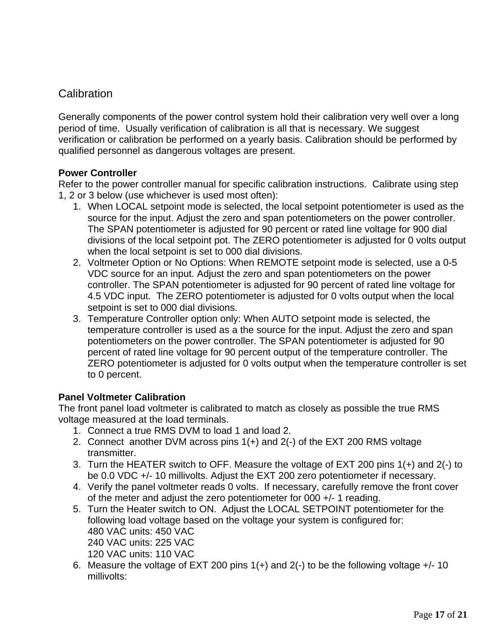# **Calibration**

Generally components of the power control system hold their calibration very well over a long period of time. Usually verification of calibration is all that is necessary. We suggest verification or calibration be performed on a yearly basis. Calibration should be performed by qualified personnel as dangerous voltages are present.

#### **Power Controller**

Refer to the power controller manual for specific calibration instructions. Calibrate using step 1, 2 or 3 below (use whichever is used most often):

- 1. When LOCAL setpoint mode is selected, the local setpoint potentiometer is used as the source for the input. Adjust the zero and span potentiometers on the power controller. The SPAN potentiometer is adjusted for 90 percent or rated line voltage for 900 dial divisions of the local setpoint pot. The ZERO potentiometer is adjusted for 0 volts output when the local setpoint is set to 000 dial divisions.
- 2. Voltmeter Option or No Options: When REMOTE setpoint mode is selected, use a 0-5 VDC source for an input. Adjust the zero and span potentiometers on the power controller. The SPAN potentiometer is adjusted for 90 percent of rated line voltage for 4.5 VDC input. The ZERO potentiometer is adjusted for 0 volts output when the local setpoint is set to 000 dial divisions.
- 3. Temperature Controller option only: When AUTO setpoint mode is selected, the temperature controller is used as a the source for the input. Adjust the zero and span potentiometers on the power controller. The SPAN potentiometer is adjusted for 90 percent of rated line voltage for 90 percent output of the temperature controller. The ZERO potentiometer is adjusted for 0 volts output when the temperature controller is set to 0 percent.

#### **Panel Voltmeter Calibration**

The front panel load voltmeter is calibrated to match as closely as possible the true RMS voltage measured at the load terminals.

- 1. Connect a true RMS DVM to load 1 and load 2.
- 2. Connect another DVM across pins 1(+) and 2(-) of the EXT 200 RMS voltage transmitter.
- 3. Turn the HEATER switch to OFF. Measure the voltage of EXT 200 pins 1(+) and 2(-) to be 0.0 VDC +/- 10 millivolts. Adjust the EXT 200 zero potentiometer if necessary.
- 4. Verify the panel voltmeter reads 0 volts. If necessary, carefully remove the front cover of the meter and adjust the zero potentiometer for 000 +/- 1 reading.
- 5. Turn the Heater switch to ON. Adjust the LOCAL SETPOINT potentiometer for the following load voltage based on the voltage your system is configured for: 480 VAC units: 450 VAC 240 VAC units: 225 VAC 120 VAC units: 110 VAC
- 6. Measure the voltage of EXT 200 pins  $1(+)$  and  $2(-)$  to be the following voltage  $+/-10$ millivolts: